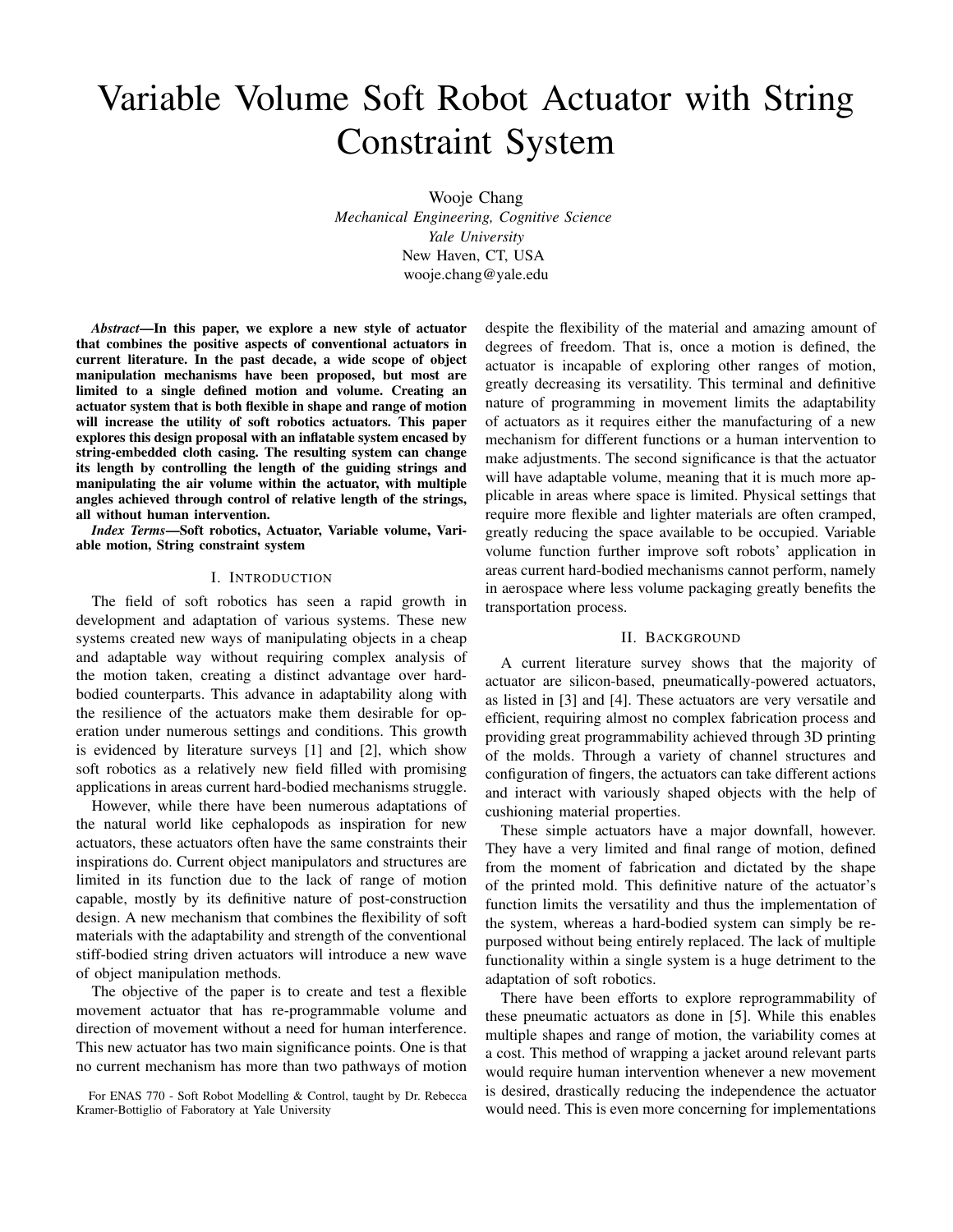# Variable Volume Soft Robot Actuator with String Constraint System

Wooje Chang *Mechanical Engineering, Cognitive Science Yale University* New Haven, CT, USA wooje.chang@yale.edu

*Abstract*—In this paper, we explore a new style of actuator that combines the positive aspects of conventional actuators in current literature. In the past decade, a wide scope of object manipulation mechanisms have been proposed, but most are limited to a single defined motion and volume. Creating an actuator system that is both flexible in shape and range of motion will increase the utility of soft robotics actuators. This paper explores this design proposal with an inflatable system encased by string-embedded cloth casing. The resulting system can change its length by controlling the length of the guiding strings and manipulating the air volume within the actuator, with multiple angles achieved through control of relative length of the strings, all without human intervention.

*Index Terms*—Soft robotics, Actuator, Variable volume, Variable motion, String constraint system

#### I. INTRODUCTION

The field of soft robotics has seen a rapid growth in development and adaptation of various systems. These new systems created new ways of manipulating objects in a cheap and adaptable way without requiring complex analysis of the motion taken, creating a distinct advantage over hardbodied counterparts. This advance in adaptability along with the resilience of the actuators make them desirable for operation under numerous settings and conditions. This growth is evidenced by literature surveys [1] and [2], which show soft robotics as a relatively new field filled with promising applications in areas current hard-bodied mechanisms struggle.

However, while there have been numerous adaptations of the natural world like cephalopods as inspiration for new actuators, these actuators often have the same constraints their inspirations do. Current object manipulators and structures are limited in its function due to the lack of range of motion capable, mostly by its definitive nature of post-construction design. A new mechanism that combines the flexibility of soft materials with the adaptability and strength of the conventional stiff-bodied string driven actuators will introduce a new wave of object manipulation methods.

The objective of the paper is to create and test a flexible movement actuator that has re-programmable volume and direction of movement without a need for human interference. This new actuator has two main significance points. One is that no current mechanism has more than two pathways of motion

For ENAS 770 - Soft Robot Modelling & Control, taught by Dr. Rebecca Kramer-Bottiglio of Faboratory at Yale University

despite the flexibility of the material and amazing amount of degrees of freedom. That is, once a motion is defined, the actuator is incapable of exploring other ranges of motion, greatly decreasing its versatility. This terminal and definitive nature of programming in movement limits the adaptability of actuators as it requires either the manufacturing of a new mechanism for different functions or a human intervention to make adjustments. The second significance is that the actuator will have adaptable volume, meaning that it is much more applicable in areas where space is limited. Physical settings that require more flexible and lighter materials are often cramped, greatly reducing the space available to be occupied. Variable volume function further improve soft robots' application in areas current hard-bodied mechanisms cannot perform, namely in aerospace where less volume packaging greatly benefits the transportation process.

#### II. BACKGROUND

A current literature survey shows that the majority of actuator are silicon-based, pneumatically-powered actuators, as listed in [3] and [4]. These actuators are very versatile and efficient, requiring almost no complex fabrication process and providing great programmability achieved through 3D printing of the molds. Through a variety of channel structures and configuration of fingers, the actuators can take different actions and interact with variously shaped objects with the help of cushioning material properties.

These simple actuators have a major downfall, however. They have a very limited and final range of motion, defined from the moment of fabrication and dictated by the shape of the printed mold. This definitive nature of the actuator's function limits the versatility and thus the implementation of the system, whereas a hard-bodied system can simply be repurposed without being entirely replaced. The lack of multiple functionality within a single system is a huge detriment to the adaptation of soft robotics.

There have been efforts to explore reprogrammability of these pneumatic actuators as done in [5]. While this enables multiple shapes and range of motion, the variability comes at a cost. This method of wrapping a jacket around relevant parts would require human intervention whenever a new movement is desired, drastically reducing the independence the actuator would need. This is even more concerning for implementations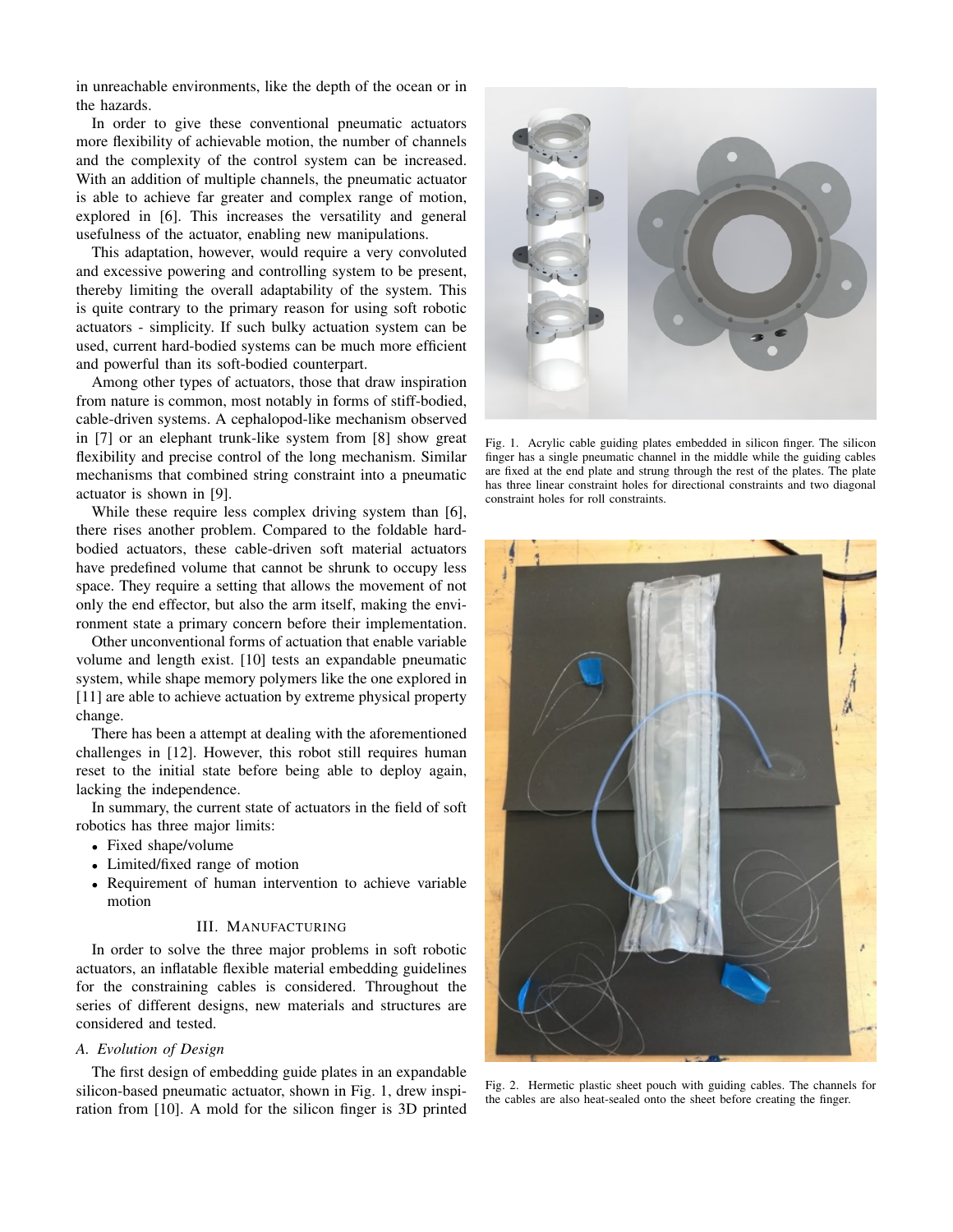in unreachable environments, like the depth of the ocean or in the hazards.

In order to give these conventional pneumatic actuators more flexibility of achievable motion, the number of channels and the complexity of the control system can be increased. With an addition of multiple channels, the pneumatic actuator is able to achieve far greater and complex range of motion, explored in [6]. This increases the versatility and general usefulness of the actuator, enabling new manipulations.

This adaptation, however, would require a very convoluted and excessive powering and controlling system to be present, thereby limiting the overall adaptability of the system. This is quite contrary to the primary reason for using soft robotic actuators - simplicity. If such bulky actuation system can be used, current hard-bodied systems can be much more efficient and powerful than its soft-bodied counterpart.

Among other types of actuators, those that draw inspiration from nature is common, most notably in forms of stiff-bodied, cable-driven systems. A cephalopod-like mechanism observed in [7] or an elephant trunk-like system from [8] show great flexibility and precise control of the long mechanism. Similar mechanisms that combined string constraint into a pneumatic actuator is shown in [9].

While these require less complex driving system than [6], there rises another problem. Compared to the foldable hardbodied actuators, these cable-driven soft material actuators have predefined volume that cannot be shrunk to occupy less space. They require a setting that allows the movement of not only the end effector, but also the arm itself, making the environment state a primary concern before their implementation.

Other unconventional forms of actuation that enable variable volume and length exist. [10] tests an expandable pneumatic system, while shape memory polymers like the one explored in [11] are able to achieve actuation by extreme physical property change.

There has been a attempt at dealing with the aforementioned challenges in [12]. However, this robot still requires human reset to the initial state before being able to deploy again, lacking the independence.

In summary, the current state of actuators in the field of soft robotics has three major limits:

- Fixed shape/volume
- Limited/fixed range of motion
- Requirement of human intervention to achieve variable motion

#### III. MANUFACTURING

In order to solve the three major problems in soft robotic actuators, an inflatable flexible material embedding guidelines for the constraining cables is considered. Throughout the series of different designs, new materials and structures are considered and tested.

#### *A. Evolution of Design*

The first design of embedding guide plates in an expandable silicon-based pneumatic actuator, shown in Fig. 1, drew inspiration from [10]. A mold for the silicon finger is 3D printed



Fig. 1. Acrylic cable guiding plates embedded in silicon finger. The silicon finger has a single pneumatic channel in the middle while the guiding cables are fixed at the end plate and strung through the rest of the plates. The plate has three linear constraint holes for directional constraints and two diagonal constraint holes for roll constraints.



Fig. 2. Hermetic plastic sheet pouch with guiding cables. The channels for the cables are also heat-sealed onto the sheet before creating the finger.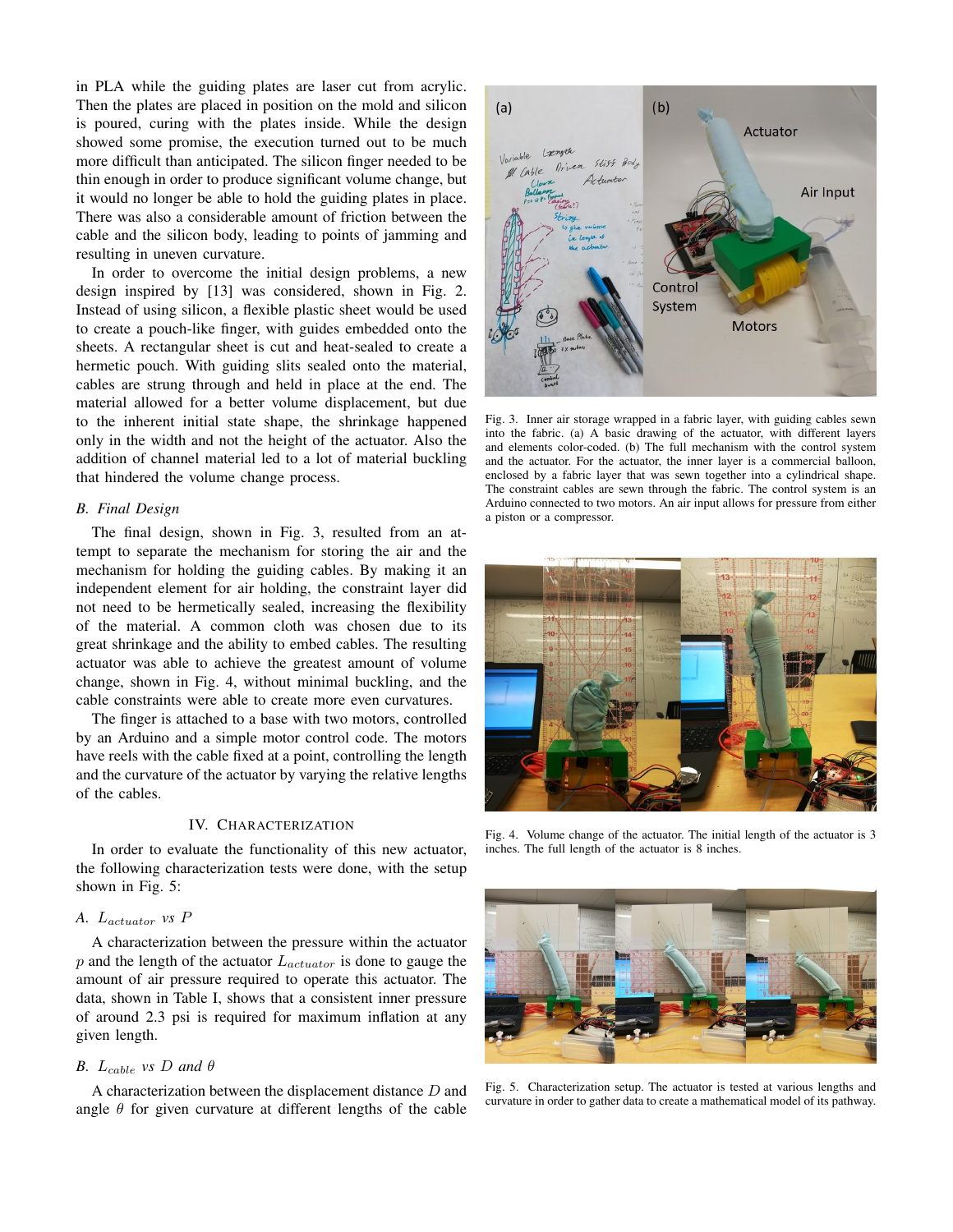in PLA while the guiding plates are laser cut from acrylic. Then the plates are placed in position on the mold and silicon is poured, curing with the plates inside. While the design showed some promise, the execution turned out to be much more difficult than anticipated. The silicon finger needed to be thin enough in order to produce significant volume change, but it would no longer be able to hold the guiding plates in place. There was also a considerable amount of friction between the cable and the silicon body, leading to points of jamming and resulting in uneven curvature.

In order to overcome the initial design problems, a new design inspired by [13] was considered, shown in Fig. 2. Instead of using silicon, a flexible plastic sheet would be used to create a pouch-like finger, with guides embedded onto the sheets. A rectangular sheet is cut and heat-sealed to create a hermetic pouch. With guiding slits sealed onto the material, cables are strung through and held in place at the end. The material allowed for a better volume displacement, but due to the inherent initial state shape, the shrinkage happened only in the width and not the height of the actuator. Also the addition of channel material led to a lot of material buckling that hindered the volume change process.

#### *B. Final Design*

The final design, shown in Fig. 3, resulted from an attempt to separate the mechanism for storing the air and the mechanism for holding the guiding cables. By making it an independent element for air holding, the constraint layer did not need to be hermetically sealed, increasing the flexibility of the material. A common cloth was chosen due to its great shrinkage and the ability to embed cables. The resulting actuator was able to achieve the greatest amount of volume change, shown in Fig. 4, without minimal buckling, and the cable constraints were able to create more even curvatures.

The finger is attached to a base with two motors, controlled by an Arduino and a simple motor control code. The motors have reels with the cable fixed at a point, controlling the length and the curvature of the actuator by varying the relative lengths of the cables.

#### IV. CHARACTERIZATION

In order to evaluate the functionality of this new actuator, the following characterization tests were done, with the setup shown in Fig. 5:

## *A.* Lactuator *vs* P

A characterization between the pressure within the actuator  $p$  and the length of the actuator  $L_{actuator}$  is done to gauge the amount of air pressure required to operate this actuator. The data, shown in Table I, shows that a consistent inner pressure of around 2.3 psi is required for maximum inflation at any given length.

### *B.*  $L_{cable}$  *vs D* and  $\theta$

A characterization between the displacement distance D and angle  $\theta$  for given curvature at different lengths of the cable



Fig. 3. Inner air storage wrapped in a fabric layer, with guiding cables sewn into the fabric. (a) A basic drawing of the actuator, with different layers and elements color-coded. (b) The full mechanism with the control system and the actuator. For the actuator, the inner layer is a commercial balloon, enclosed by a fabric layer that was sewn together into a cylindrical shape. The constraint cables are sewn through the fabric. The control system is an Arduino connected to two motors. An air input allows for pressure from either a piston or a compressor.



Fig. 4. Volume change of the actuator. The initial length of the actuator is 3 inches. The full length of the actuator is 8 inches.



Fig. 5. Characterization setup. The actuator is tested at various lengths and curvature in order to gather data to create a mathematical model of its pathway.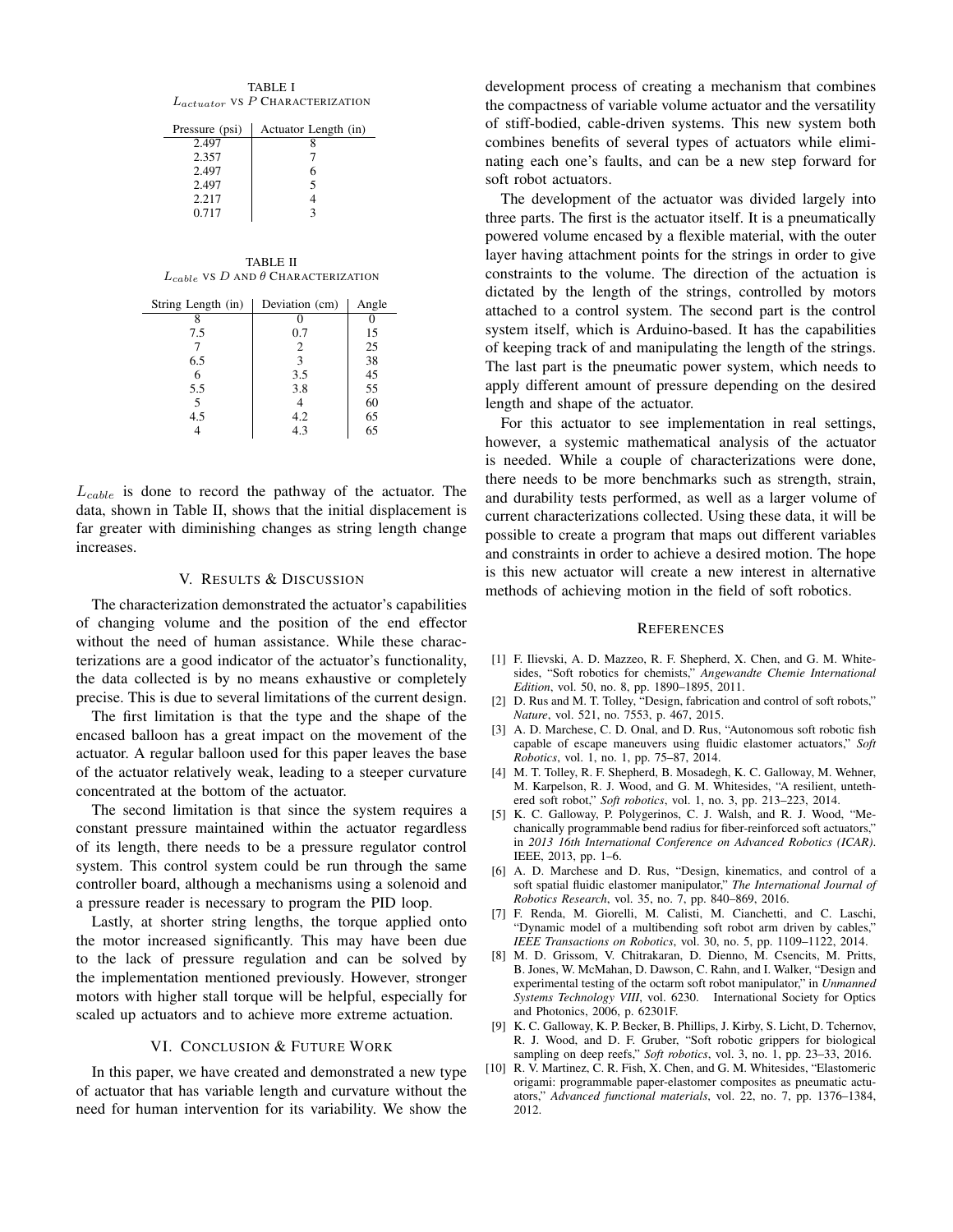| TABLE I |                                        |  |  |  |  |
|---------|----------------------------------------|--|--|--|--|
|         | $L_{actuator}$ vs $P$ Characterization |  |  |  |  |

| Pressure (psi) | Actuator Length (in) |
|----------------|----------------------|
| 2.497          |                      |
| 2.357          |                      |
| 2.497          |                      |
| 2.497          |                      |
| 2.217          |                      |
| 0.717          |                      |
|                |                      |

| <b>TABLE II</b>                                |  |
|------------------------------------------------|--|
| $L_{cable}$ VS D AND $\theta$ CHARACTERIZATION |  |

| String Length (in) | Deviation (cm) | Angle |
|--------------------|----------------|-------|
|                    |                |       |
| 7.5                | 0.7            | 15    |
|                    | 2              | 25    |
| 6.5                | 3              | 38    |
| 6                  | 3.5            | 45    |
| 5.5                | 3.8            | 55    |
| 5                  |                | 60    |
| 4.5                | 4.2            | 65    |
|                    | 4.3            | 65    |

 $L_{cable}$  is done to record the pathway of the actuator. The data, shown in Table II, shows that the initial displacement is far greater with diminishing changes as string length change increases.

#### V. RESULTS & DISCUSSION

The characterization demonstrated the actuator's capabilities of changing volume and the position of the end effector without the need of human assistance. While these characterizations are a good indicator of the actuator's functionality, the data collected is by no means exhaustive or completely precise. This is due to several limitations of the current design.

The first limitation is that the type and the shape of the encased balloon has a great impact on the movement of the actuator. A regular balloon used for this paper leaves the base of the actuator relatively weak, leading to a steeper curvature concentrated at the bottom of the actuator.

The second limitation is that since the system requires a constant pressure maintained within the actuator regardless of its length, there needs to be a pressure regulator control system. This control system could be run through the same controller board, although a mechanisms using a solenoid and a pressure reader is necessary to program the PID loop.

Lastly, at shorter string lengths, the torque applied onto the motor increased significantly. This may have been due to the lack of pressure regulation and can be solved by the implementation mentioned previously. However, stronger motors with higher stall torque will be helpful, especially for scaled up actuators and to achieve more extreme actuation.

#### VI. CONCLUSION & FUTURE WORK

In this paper, we have created and demonstrated a new type of actuator that has variable length and curvature without the need for human intervention for its variability. We show the development process of creating a mechanism that combines the compactness of variable volume actuator and the versatility of stiff-bodied, cable-driven systems. This new system both combines benefits of several types of actuators while eliminating each one's faults, and can be a new step forward for soft robot actuators.

The development of the actuator was divided largely into three parts. The first is the actuator itself. It is a pneumatically powered volume encased by a flexible material, with the outer layer having attachment points for the strings in order to give constraints to the volume. The direction of the actuation is dictated by the length of the strings, controlled by motors attached to a control system. The second part is the control system itself, which is Arduino-based. It has the capabilities of keeping track of and manipulating the length of the strings. The last part is the pneumatic power system, which needs to apply different amount of pressure depending on the desired length and shape of the actuator.

For this actuator to see implementation in real settings, however, a systemic mathematical analysis of the actuator is needed. While a couple of characterizations were done, there needs to be more benchmarks such as strength, strain, and durability tests performed, as well as a larger volume of current characterizations collected. Using these data, it will be possible to create a program that maps out different variables and constraints in order to achieve a desired motion. The hope is this new actuator will create a new interest in alternative methods of achieving motion in the field of soft robotics.

#### **REFERENCES**

- [1] F. Ilievski, A. D. Mazzeo, R. F. Shepherd, X. Chen, and G. M. Whitesides, "Soft robotics for chemists," *Angewandte Chemie International Edition*, vol. 50, no. 8, pp. 1890–1895, 2011.
- [2] D. Rus and M. T. Tolley, "Design, fabrication and control of soft robots," *Nature*, vol. 521, no. 7553, p. 467, 2015.
- [3] A. D. Marchese, C. D. Onal, and D. Rus, "Autonomous soft robotic fish capable of escape maneuvers using fluidic elastomer actuators," *Soft Robotics*, vol. 1, no. 1, pp. 75–87, 2014.
- [4] M. T. Tolley, R. F. Shepherd, B. Mosadegh, K. C. Galloway, M. Wehner, M. Karpelson, R. J. Wood, and G. M. Whitesides, "A resilient, untethered soft robot," *Soft robotics*, vol. 1, no. 3, pp. 213–223, 2014.
- [5] K. C. Galloway, P. Polygerinos, C. J. Walsh, and R. J. Wood, "Mechanically programmable bend radius for fiber-reinforced soft actuators,' in *2013 16th International Conference on Advanced Robotics (ICAR)*. IEEE, 2013, pp. 1–6.
- [6] A. D. Marchese and D. Rus, "Design, kinematics, and control of a soft spatial fluidic elastomer manipulator," *The International Journal of Robotics Research*, vol. 35, no. 7, pp. 840–869, 2016.
- [7] F. Renda, M. Giorelli, M. Calisti, M. Cianchetti, and C. Laschi, "Dynamic model of a multibending soft robot arm driven by cables," *IEEE Transactions on Robotics*, vol. 30, no. 5, pp. 1109–1122, 2014.
- [8] M. D. Grissom, V. Chitrakaran, D. Dienno, M. Csencits, M. Pritts, B. Jones, W. McMahan, D. Dawson, C. Rahn, and I. Walker, "Design and experimental testing of the octarm soft robot manipulator," in *Unmanned Systems Technology VIII*, vol. 6230. International Society for Optics and Photonics, 2006, p. 62301F.
- [9] K. C. Galloway, K. P. Becker, B. Phillips, J. Kirby, S. Licht, D. Tchernov, R. J. Wood, and D. F. Gruber, "Soft robotic grippers for biological sampling on deep reefs," *Soft robotics*, vol. 3, no. 1, pp. 23–33, 2016.
- [10] R. V. Martinez, C. R. Fish, X. Chen, and G. M. Whitesides, "Elastomeric origami: programmable paper-elastomer composites as pneumatic actuators," *Advanced functional materials*, vol. 22, no. 7, pp. 1376–1384, 2012.